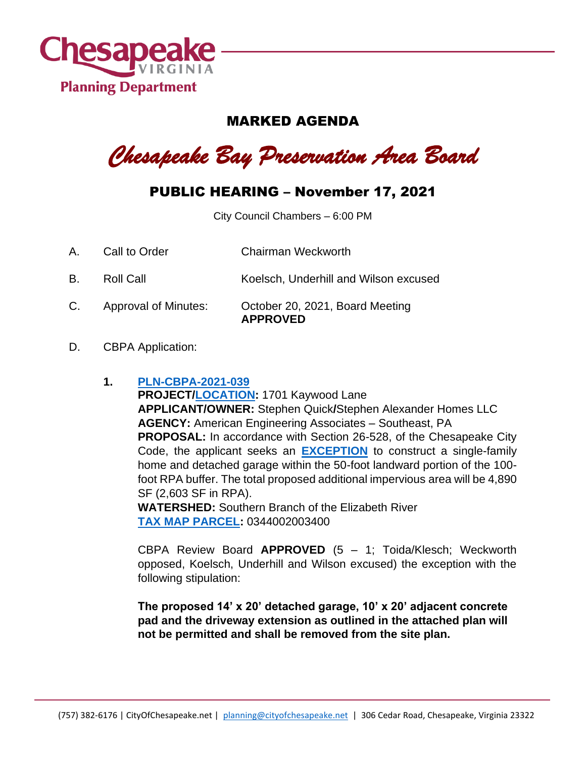

## MARKED AGENDA

*Chesapeake Bay Preservation Area Board*

## PUBLIC HEARING – November 17, 2021

City Council Chambers – 6:00 PM

- A. Call to Order Chairman Weckworth
- B. Roll Call **Koelsch, Underhill and Wilson excused**
- C. Approval of Minutes: October 20, 2021, Board Meeting **APPROVED**
- D. CBPA Application:

## **1. [PLN-CBPA-2021-039](https://aca-prod.accela.com/CHESAPEAKE/Cap/CapDetail.aspx?Module=Planning&TabName=Planning&capID1=DUB21&capID2=00000&capID3=00JXJ&agencyCode=CHESAPEAKE&IsToShowInspection=)**

**PROJECT[/LOCATION:](https://www.cityofchesapeake.net/Assets/supporting_docs/actions_cbpa/2021/2021-11-17/pln-cbpa-2021-039_location_map.jpg)** 1701 Kaywood Lane **APPLICANT/OWNER:** Stephen Quick**/**Stephen Alexander Homes LLC **AGENCY:** American Engineering Associates – Southeast, PA **PROPOSAL:** In accordance with Section 26-528, of the Chesapeake City Code, the applicant seeks an **[EXCEPTION](https://www.cityofchesapeake.net/Assets/supporting_docs/actions_cbpa/2021/2021-11-17/pln-cbpa-2021-039_staff_report.pdf)** to construct a single-family home and detached garage within the 50-foot landward portion of the 100 foot RPA buffer. The total proposed additional impervious area will be 4,890 SF (2,603 SF in RPA).

**WATERSHED:** Southern Branch of the Elizabeth River **[TAX MAP PARCEL:](https://www.cityofchesapeake.net/Assets/supporting_docs/actions_cbpa/2021/2021-11-17/pln-cbpa-2021-039_aerial.jpg)** 0344002003400

CBPA Review Board **APPROVED** (5 – 1; Toida/Klesch; Weckworth opposed, Koelsch, Underhill and Wilson excused) the exception with the following stipulation:

**The proposed 14' x 20' detached garage, 10' x 20' adjacent concrete pad and the driveway extension as outlined in the attached plan will not be permitted and shall be removed from the site plan.**